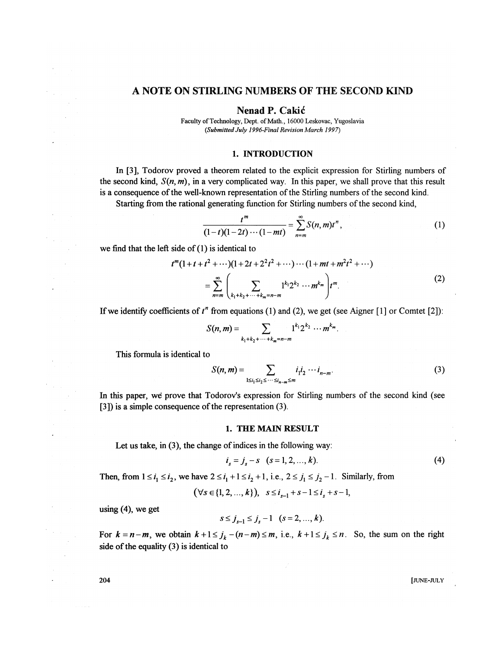## **A NOTE ON STIRLING NUMBERS OF THE SECOND KIND**

**Nenad P. Cakid** 

Faculty of Technology, Dept. of Math., 16000 Leskovac, Yugoslavia *(Submitted July 1996-Final Revision March 1997)* 

## 1. INTRODUCTION

In [3], Todorov proved a theorem related to the explicit expression for Stirling numbers of the second kind,  $S(n, m)$ , in a very complicated way. In this paper, we shall prove that this result is a consequence of the well-known representation of the Stirling numbers of the second kind.

Starting from the rational generating function for Stirling numbers of the second kind,

$$
\frac{t^m}{(1-t)(1-2t)\cdots(1-mt)} = \sum_{n=m}^{\infty} S(n,m)t^n,
$$
 (1)

we find that the left side of (1) is identical to

$$
t^{m}(1+t+t^{2}+\cdots)(1+2t+2^{2}t^{2}+\cdots)\cdots(1+mt+m^{2}t^{2}+\cdots)
$$
  
=
$$
\sum_{n=m}^{\infty}\left(\sum_{k_{1}+k_{2}+\cdots+k_{m}=n-m}1^{k_{1}}2^{k_{2}}\cdots m^{k_{m}}\right)t^{m}.
$$
 (2)

If we identify coefficients of  $t^n$  from equations (1) and (2), we get (see Aigner [1] or Comtet [2]):

$$
S(n, m) = \sum_{k_1 + k_2 + \cdots + k_m = n-m} 1^{k_1} 2^{k_2} \cdots m^{k_m}.
$$

This formula is identical to

$$
S(n,m) = \sum_{1 \le i_1 \le i_2 \le \cdots \le i_{n-m} \le m} i_1 i_2 \cdots i_{n-m}.
$$
 (3)

In this paper, we prove that Todorov's expression for Stirling numbers of the second kind (see [3]) is a simple consequence of the representation (3).

## 1. THE MAIN RESULT

Let us take, in (3), the change of indices in the following way:

$$
i_s = j_s - s \quad (s = 1, 2, ..., k). \tag{4}
$$

Then, from  $1 \le i_1 \le i_2$ , we have  $2 \le i_1 + 1 \le i_2 + 1$ , i.e.,  $2 \le j_1 \le j_2 - 1$ . Similarly, from

 $(\forall s \in \{1, 2, ..., k\}), s \leq i_{s - 1} + s - 1 \leq i_{s} + s - 1,$ 

using (4), we get

$$
s \leq j_{s-1} \leq j_s - 1 \quad (s = 2, ..., k).
$$

For  $k = n-m$ , we obtain  $k+1 \leq j_k-(n-m) \leq m$ , i.e.,  $k+1 \leq j_k \leq n$ . So, the sum on the right side of the equality (3) is identical to

 $204$  [JUNE-JULY